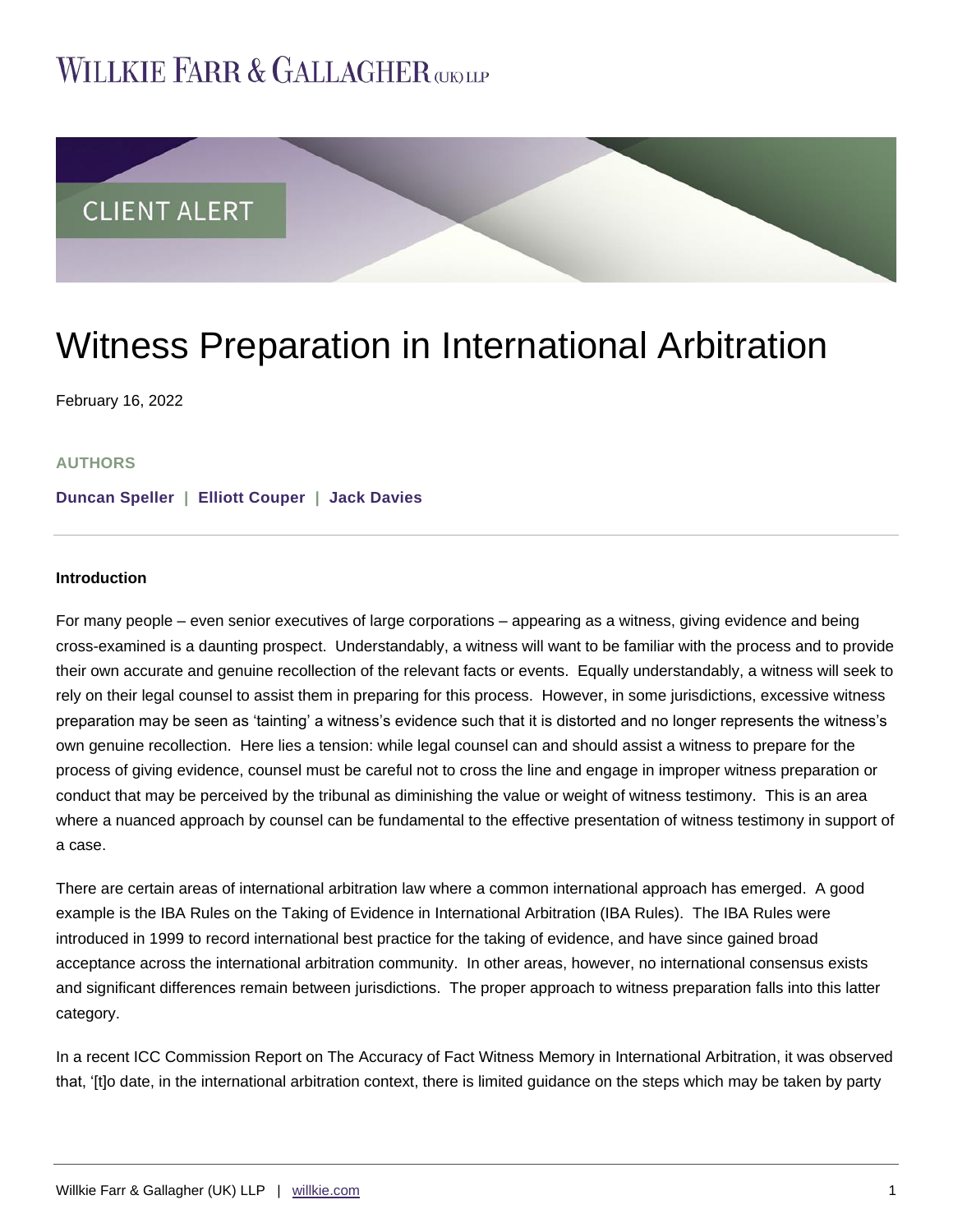# WILLKIE FARR & GALLAGHER **argue**



# Witness Preparation in International Arbitration

February 16, 2022

### **AUTHORS**

**[Duncan Speller](https://www.willkie.com/professionals/s/speller-duncan) | [Elliott Couper](https://www.willkie.com/professionals/c/couper-elliott) | [Jack Davies](https://www.willkie.com/professionals/d/davies-jack)**

#### **Introduction**

For many people – even senior executives of large corporations – appearing as a witness, giving evidence and being cross-examined is a daunting prospect. Understandably, a witness will want to be familiar with the process and to provide their own accurate and genuine recollection of the relevant facts or events. Equally understandably, a witness will seek to rely on their legal counsel to assist them in preparing for this process. However, in some jurisdictions, excessive witness preparation may be seen as 'tainting' a witness's evidence such that it is distorted and no longer represents the witness's own genuine recollection. Here lies a tension: while legal counsel can and should assist a witness to prepare for the process of giving evidence, counsel must be careful not to cross the line and engage in improper witness preparation or conduct that may be perceived by the tribunal as diminishing the value or weight of witness testimony. This is an area where a nuanced approach by counsel can be fundamental to the effective presentation of witness testimony in support of a case.

There are certain areas of international arbitration law where a common international approach has emerged. A good example is the IBA Rules on the Taking of Evidence in International Arbitration (IBA Rules). The IBA Rules were introduced in 1999 to record international best practice for the taking of evidence, and have since gained broad acceptance across the international arbitration community. In other areas, however, no international consensus exists and significant differences remain between jurisdictions. The proper approach to witness preparation falls into this latter category.

In a recent ICC Commission Report on The Accuracy of Fact Witness Memory in International Arbitration, it was observed that, '[t]o date, in the international arbitration context, there is limited guidance on the steps which may be taken by party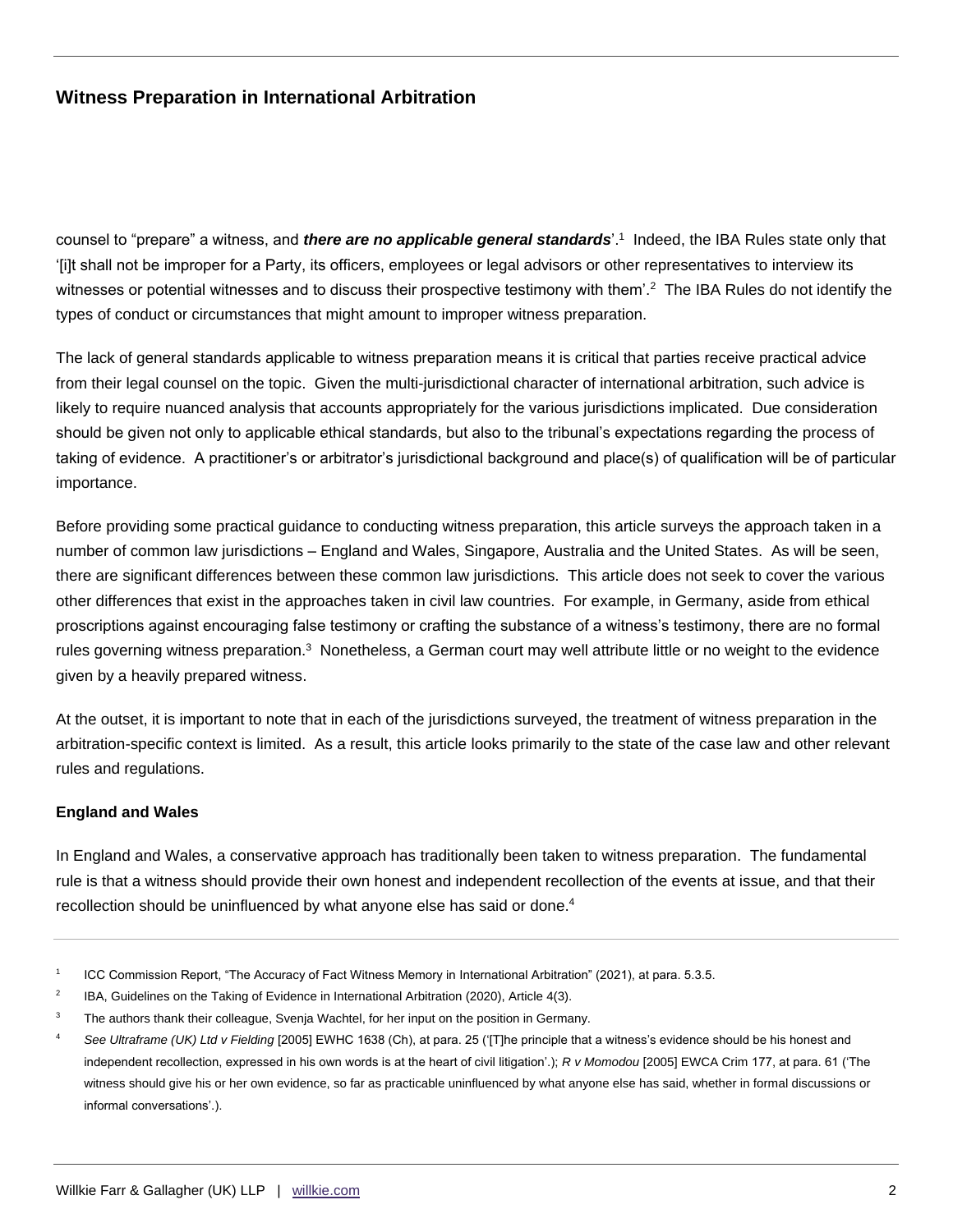counsel to "prepare" a witness, and *there are no applicable general standards*'.<sup>1</sup> Indeed, the IBA Rules state only that '[i]t shall not be improper for a Party, its officers, employees or legal advisors or other representatives to interview its witnesses or potential witnesses and to discuss their prospective testimony with them'.<sup>2</sup> The IBA Rules do not identify the types of conduct or circumstances that might amount to improper witness preparation.

The lack of general standards applicable to witness preparation means it is critical that parties receive practical advice from their legal counsel on the topic. Given the multi-jurisdictional character of international arbitration, such advice is likely to require nuanced analysis that accounts appropriately for the various jurisdictions implicated. Due consideration should be given not only to applicable ethical standards, but also to the tribunal's expectations regarding the process of taking of evidence. A practitioner's or arbitrator's jurisdictional background and place(s) of qualification will be of particular importance.

Before providing some practical guidance to conducting witness preparation, this article surveys the approach taken in a number of common law jurisdictions – England and Wales, Singapore, Australia and the United States. As will be seen, there are significant differences between these common law jurisdictions. This article does not seek to cover the various other differences that exist in the approaches taken in civil law countries. For example, in Germany, aside from ethical proscriptions against encouraging false testimony or crafting the substance of a witness's testimony, there are no formal rules governing witness preparation.<sup>3</sup> Nonetheless, a German court may well attribute little or no weight to the evidence given by a heavily prepared witness.

At the outset, it is important to note that in each of the jurisdictions surveyed, the treatment of witness preparation in the arbitration-specific context is limited. As a result, this article looks primarily to the state of the case law and other relevant rules and regulations.

### **England and Wales**

In England and Wales, a conservative approach has traditionally been taken to witness preparation. The fundamental rule is that a witness should provide their own honest and independent recollection of the events at issue, and that their recollection should be uninfluenced by what anyone else has said or done.<sup>4</sup>

<sup>1</sup> ICC Commission Report, "The Accuracy of Fact Witness Memory in International Arbitration" (2021), at para. 5.3.5.

<sup>2</sup> IBA, Guidelines on the Taking of Evidence in International Arbitration (2020), Article 4(3).

<sup>&</sup>lt;sup>3</sup> The authors thank their colleague, Svenja Wachtel, for her input on the position in Germany.

<sup>4</sup> *See Ultraframe (UK) Ltd v Fielding* [2005] EWHC 1638 (Ch), at para. 25 ('[T]he principle that a witness's evidence should be his honest and independent recollection, expressed in his own words is at the heart of civil litigation'.); *R v Momodou* [2005] EWCA Crim 177, at para. 61 ('The witness should give his or her own evidence, so far as practicable uninfluenced by what anyone else has said, whether in formal discussions or informal conversations'.).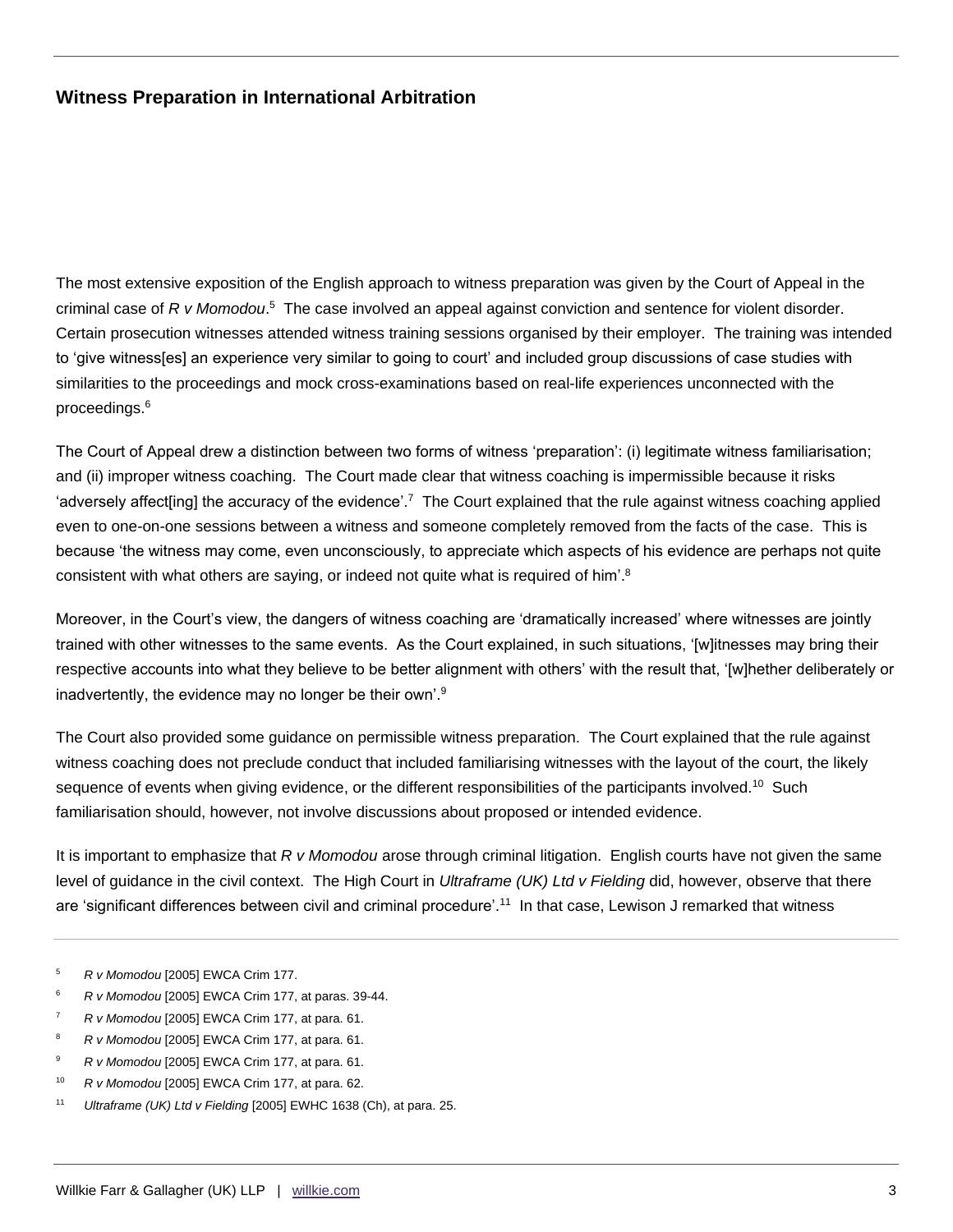The most extensive exposition of the English approach to witness preparation was given by the Court of Appeal in the criminal case of R v Momodou.<sup>5</sup> The case involved an appeal against conviction and sentence for violent disorder. Certain prosecution witnesses attended witness training sessions organised by their employer. The training was intended to 'give witness[es] an experience very similar to going to court' and included group discussions of case studies with similarities to the proceedings and mock cross-examinations based on real-life experiences unconnected with the proceedings.<sup>6</sup>

The Court of Appeal drew a distinction between two forms of witness 'preparation': (i) legitimate witness familiarisation; and (ii) improper witness coaching. The Court made clear that witness coaching is impermissible because it risks 'adversely affect[ing] the accuracy of the evidence'.<sup>7</sup> The Court explained that the rule against witness coaching applied even to one-on-one sessions between a witness and someone completely removed from the facts of the case. This is because 'the witness may come, even unconsciously, to appreciate which aspects of his evidence are perhaps not quite consistent with what others are saying, or indeed not quite what is required of him'.<sup>8</sup>

Moreover, in the Court's view, the dangers of witness coaching are 'dramatically increased' where witnesses are jointly trained with other witnesses to the same events. As the Court explained, in such situations, '[w]itnesses may bring their respective accounts into what they believe to be better alignment with others' with the result that, '[w]hether deliberately or inadvertently, the evidence may no longer be their own'.<sup>9</sup>

The Court also provided some guidance on permissible witness preparation. The Court explained that the rule against witness coaching does not preclude conduct that included familiarising witnesses with the layout of the court, the likely sequence of events when giving evidence, or the different responsibilities of the participants involved.<sup>10</sup> Such familiarisation should, however, not involve discussions about proposed or intended evidence.

It is important to emphasize that *R v Momodou* arose through criminal litigation. English courts have not given the same level of guidance in the civil context. The High Court in *Ultraframe (UK) Ltd v Fielding* did, however, observe that there are 'significant differences between civil and criminal procedure'.<sup>11</sup> In that case, Lewison J remarked that witness

- <sup>5</sup> *R v Momodou* [2005] EWCA Crim 177.
- <sup>6</sup> *R v Momodou* [2005] EWCA Crim 177, at paras. 39-44.
- <sup>7</sup> *R v Momodou* [2005] EWCA Crim 177, at para. 61.
- <sup>8</sup> *R v Momodou* [2005] EWCA Crim 177, at para. 61.
- <sup>9</sup> *R v Momodou* [2005] EWCA Crim 177, at para. 61.
- <sup>10</sup> *R v Momodou* [2005] EWCA Crim 177, at para. 62.
- <sup>11</sup> *Ultraframe (UK) Ltd v Fielding* [2005] EWHC 1638 (Ch), at para. 25.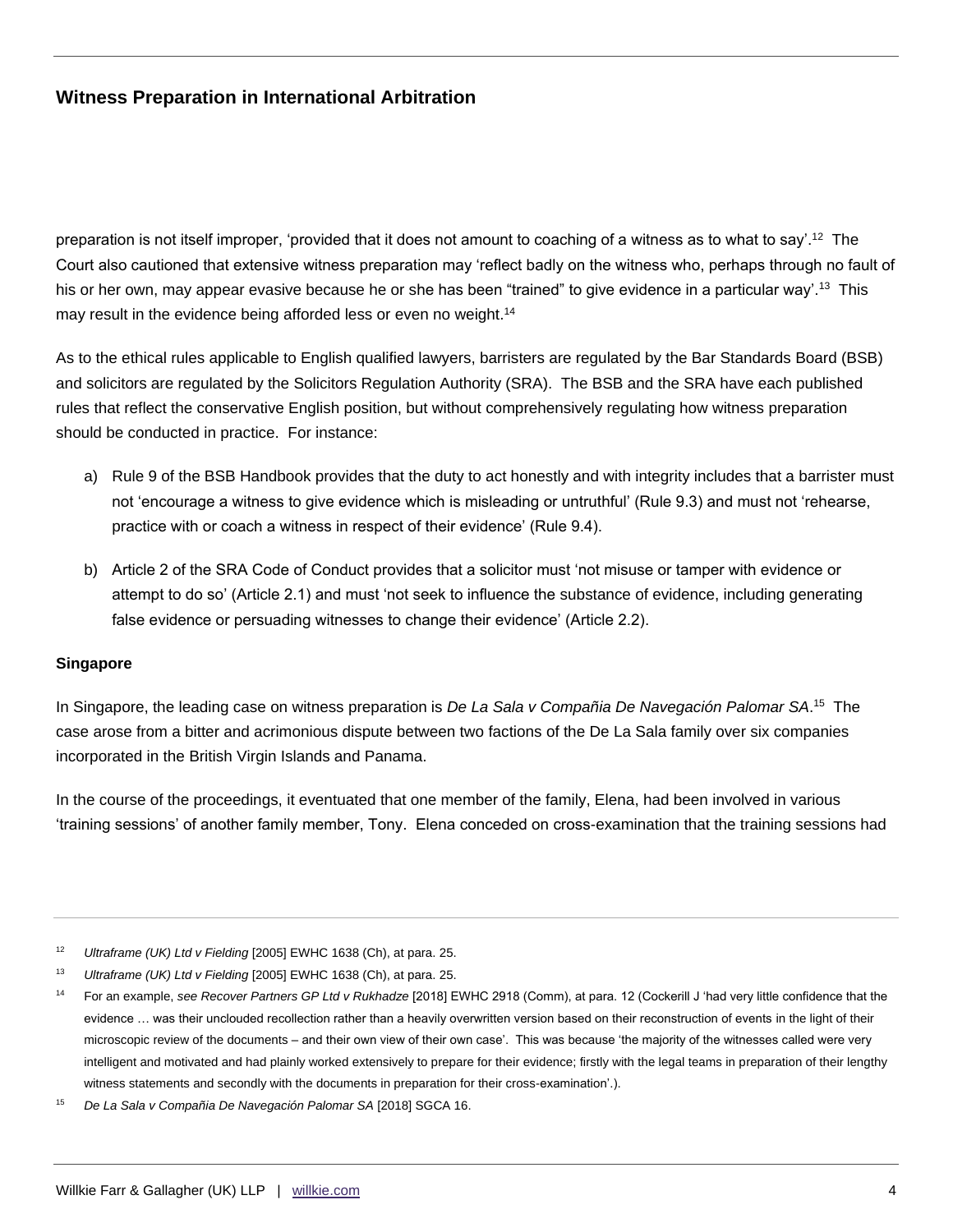preparation is not itself improper, 'provided that it does not amount to coaching of a witness as to what to say'.<sup>12</sup> The Court also cautioned that extensive witness preparation may 'reflect badly on the witness who, perhaps through no fault of his or her own, may appear evasive because he or she has been "trained" to give evidence in a particular way'.<sup>13</sup> This may result in the evidence being afforded less or even no weight.<sup>14</sup>

As to the ethical rules applicable to English qualified lawyers, barristers are regulated by the Bar Standards Board (BSB) and solicitors are regulated by the Solicitors Regulation Authority (SRA). The BSB and the SRA have each published rules that reflect the conservative English position, but without comprehensively regulating how witness preparation should be conducted in practice. For instance:

- a) Rule 9 of the BSB Handbook provides that the duty to act honestly and with integrity includes that a barrister must not 'encourage a witness to give evidence which is misleading or untruthful' (Rule 9.3) and must not 'rehearse, practice with or coach a witness in respect of their evidence' (Rule 9.4).
- b) Article 2 of the SRA Code of Conduct provides that a solicitor must 'not misuse or tamper with evidence or attempt to do so' (Article 2.1) and must 'not seek to influence the substance of evidence, including generating false evidence or persuading witnesses to change their evidence' (Article 2.2).

#### **Singapore**

In Singapore, the leading case on witness preparation is *De La Sala v Compañia De Navegación Palomar SA*. 15 The case arose from a bitter and acrimonious dispute between two factions of the De La Sala family over six companies incorporated in the British Virgin Islands and Panama.

In the course of the proceedings, it eventuated that one member of the family, Elena, had been involved in various 'training sessions' of another family member, Tony. Elena conceded on cross-examination that the training sessions had

<sup>12</sup> *Ultraframe (UK) Ltd v Fielding* [2005] EWHC 1638 (Ch), at para. 25.

<sup>13</sup> *Ultraframe (UK) Ltd v Fielding* [2005] EWHC 1638 (Ch), at para. 25.

<sup>14</sup> For an example, *see Recover Partners GP Ltd v Rukhadze* [2018] EWHC 2918 (Comm), at para. 12 (Cockerill J 'had very little confidence that the evidence … was their unclouded recollection rather than a heavily overwritten version based on their reconstruction of events in the light of their microscopic review of the documents – and their own view of their own case'. This was because 'the majority of the witnesses called were very intelligent and motivated and had plainly worked extensively to prepare for their evidence; firstly with the legal teams in preparation of their lengthy witness statements and secondly with the documents in preparation for their cross-examination'.).

<sup>&</sup>lt;sup>15</sup> De La Sala v Compañia De Navegación Palomar SA [2018] SGCA 16.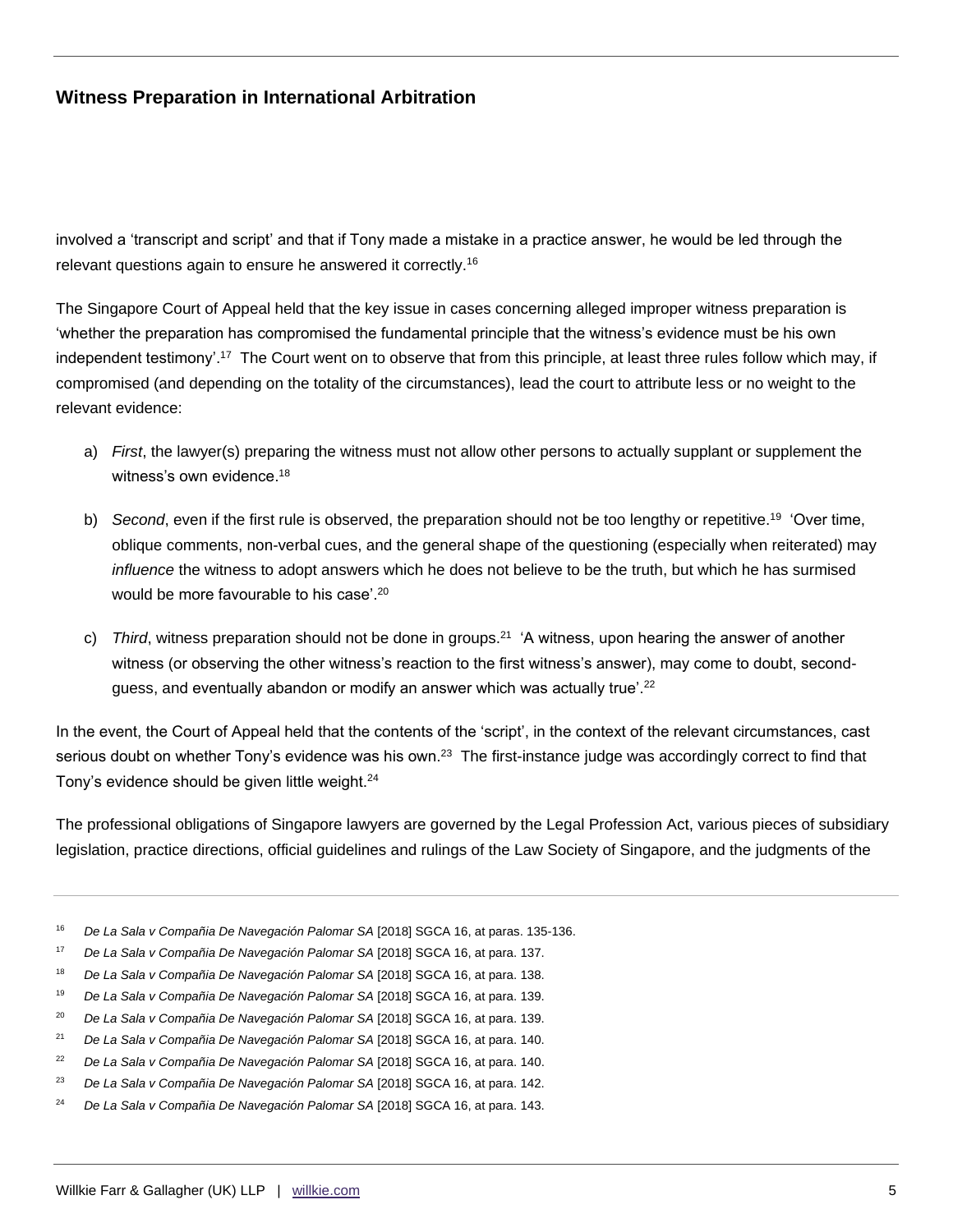involved a 'transcript and script' and that if Tony made a mistake in a practice answer, he would be led through the relevant questions again to ensure he answered it correctly.<sup>16</sup>

The Singapore Court of Appeal held that the key issue in cases concerning alleged improper witness preparation is 'whether the preparation has compromised the fundamental principle that the witness's evidence must be his own independent testimony'.<sup>17</sup> The Court went on to observe that from this principle, at least three rules follow which may, if compromised (and depending on the totality of the circumstances), lead the court to attribute less or no weight to the relevant evidence:

- a) *First*, the lawyer(s) preparing the witness must not allow other persons to actually supplant or supplement the witness's own evidence.<sup>18</sup>
- b) Second, even if the first rule is observed, the preparation should not be too lengthy or repetitive.<sup>19</sup> 'Over time, oblique comments, non-verbal cues, and the general shape of the questioning (especially when reiterated) may *influence* the witness to adopt answers which he does not believe to be the truth, but which he has surmised would be more favourable to his case'.<sup>20</sup>
- c) Third, witness preparation should not be done in groups.<sup>21</sup> 'A witness, upon hearing the answer of another witness (or observing the other witness's reaction to the first witness's answer), may come to doubt, secondguess, and eventually abandon or modify an answer which was actually true'.<sup>22</sup>

In the event, the Court of Appeal held that the contents of the 'script', in the context of the relevant circumstances, cast serious doubt on whether Tony's evidence was his own.<sup>23</sup> The first-instance judge was accordingly correct to find that Tony's evidence should be given little weight.<sup>24</sup>

The professional obligations of Singapore lawyers are governed by the Legal Profession Act, various pieces of subsidiary legislation, practice directions, official guidelines and rulings of the Law Society of Singapore, and the judgments of the

- <sup>16</sup> De La Sala v Compañia De Navegación Palomar SA [2018] SGCA 16, at paras. 135-136.
- <sup>17</sup> De La Sala v Compañia De Navegación Palomar SA [2018] SGCA 16, at para. 137.
- <sup>18</sup> De La Sala v Compañia De Navegación Palomar SA [2018] SGCA 16, at para. 138.
- <sup>19</sup> *De La Sala v Compañia De Navegación Palomar SA* [2018] SGCA 16, at para. 139.
- <sup>20</sup> *De La Sala v Compañia De Navegación Palomar SA* [2018] SGCA 16, at para. 139.
- <sup>21</sup> *De La Sala v Compañia De Navegación Palomar SA* [2018] SGCA 16, at para. 140.
- <sup>22</sup> De La Sala v Compañia De Navegación Palomar SA [2018] SGCA 16, at para. 140.
- <sup>23</sup> De La Sala v Compañia De Navegación Palomar SA [2018] SGCA 16, at para. 142.
- <sup>24</sup> De La Sala v Compañia De Navegación Palomar SA [2018] SGCA 16, at para. 143.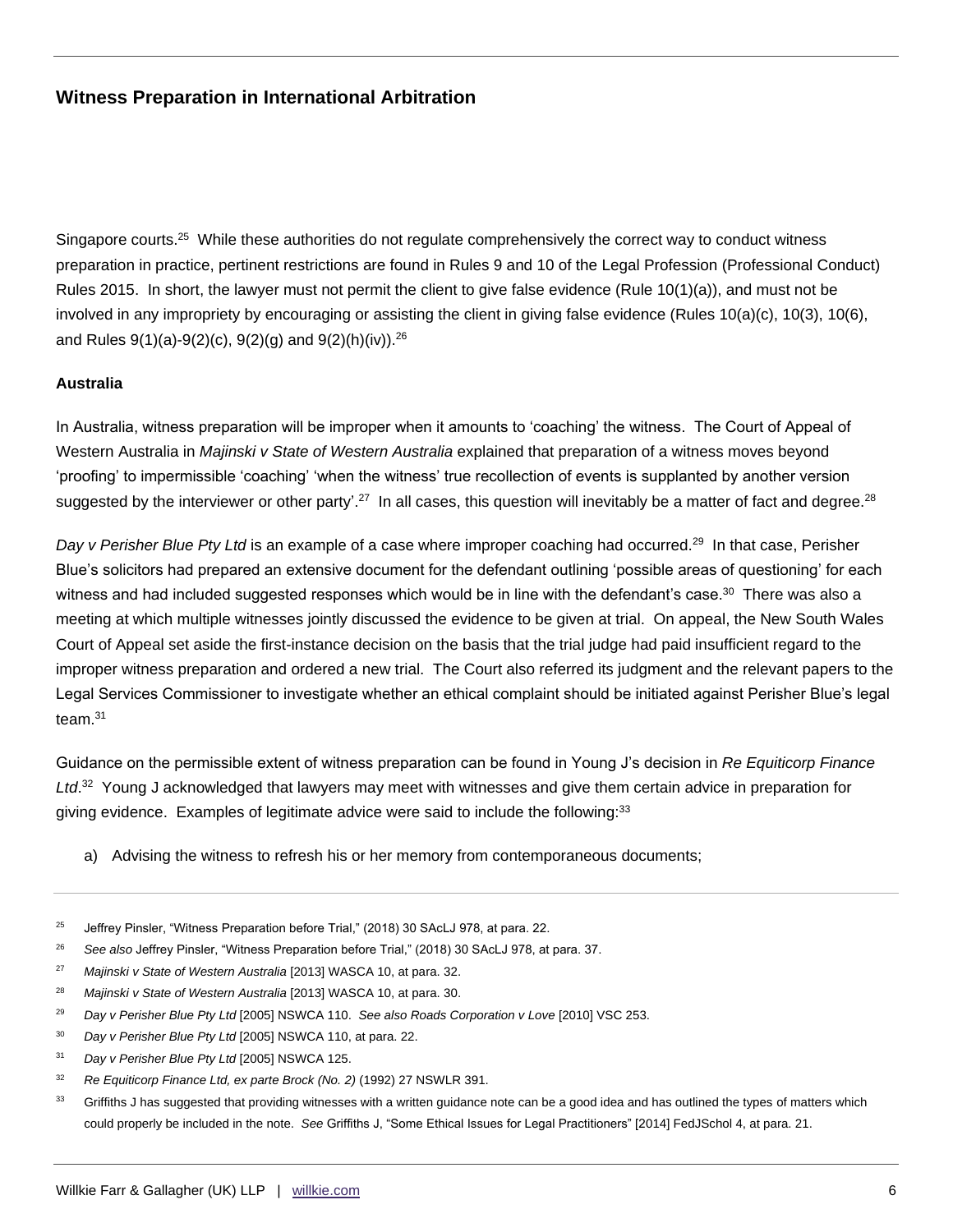Singapore courts.<sup>25</sup> While these authorities do not regulate comprehensively the correct way to conduct witness preparation in practice, pertinent restrictions are found in Rules 9 and 10 of the Legal Profession (Professional Conduct) Rules 2015. In short, the lawyer must not permit the client to give false evidence (Rule 10(1)(a)), and must not be involved in any impropriety by encouraging or assisting the client in giving false evidence (Rules 10(a)(c), 10(3), 10(6), and Rules  $9(1)(a)-9(2)(c)$ ,  $9(2)(g)$  and  $9(2)(h)(iv)$ .<sup>26</sup>

#### **Australia**

In Australia, witness preparation will be improper when it amounts to 'coaching' the witness. The Court of Appeal of Western Australia in *Majinski v State of Western Australia* explained that preparation of a witness moves beyond 'proofing' to impermissible 'coaching' 'when the witness' true recollection of events is supplanted by another version suggested by the interviewer or other party'.<sup>27</sup> In all cases, this question will inevitably be a matter of fact and degree.<sup>28</sup>

Day v Perisher Blue Pty Ltd is an example of a case where improper coaching had occurred.<sup>29</sup> In that case, Perisher Blue's solicitors had prepared an extensive document for the defendant outlining 'possible areas of questioning' for each witness and had included suggested responses which would be in line with the defendant's case. $^{\rm 30}$  There was also a meeting at which multiple witnesses jointly discussed the evidence to be given at trial. On appeal, the New South Wales Court of Appeal set aside the first-instance decision on the basis that the trial judge had paid insufficient regard to the improper witness preparation and ordered a new trial. The Court also referred its judgment and the relevant papers to the Legal Services Commissioner to investigate whether an ethical complaint should be initiated against Perisher Blue's legal team.<sup>31</sup>

Guidance on the permissible extent of witness preparation can be found in Young J's decision in *Re Equiticorp Finance Ltd*. 32 Young J acknowledged that lawyers may meet with witnesses and give them certain advice in preparation for giving evidence. Examples of legitimate advice were said to include the following:<sup>33</sup>

a) Advising the witness to refresh his or her memory from contemporaneous documents;

- <sup>26</sup> *See also* Jeffrey Pinsler, "Witness Preparation before Trial," (2018) 30 SAcLJ 978, at para. 37.
- <sup>27</sup> *Majinski v State of Western Australia* [2013] WASCA 10, at para. 32.
- <sup>28</sup> *Majinski v State of Western Australia* [2013] WASCA 10, at para. 30.
- <sup>29</sup> *Day v Perisher Blue Pty Ltd* [2005] NSWCA 110. *See also Roads Corporation v Love* [2010] VSC 253.
- <sup>30</sup> *Day v Perisher Blue Pty Ltd* [2005] NSWCA 110, at para. 22.
- <sup>31</sup> *Day v Perisher Blue Pty Ltd* [2005] NSWCA 125.
- <sup>32</sup> Re Equiticorp Finance Ltd, ex parte Brock (No. 2) (1992) 27 NSWLR 391.
- <sup>33</sup> Griffiths J has suggested that providing witnesses with a written guidance note can be a good idea and has outlined the types of matters which could properly be included in the note. *See* Griffiths J, "Some Ethical Issues for Legal Practitioners" [2014] FedJSchol 4, at para. 21.

<sup>&</sup>lt;sup>25</sup> Jeffrey Pinsler, "Witness Preparation before Trial," (2018) 30 SAcLJ 978, at para. 22.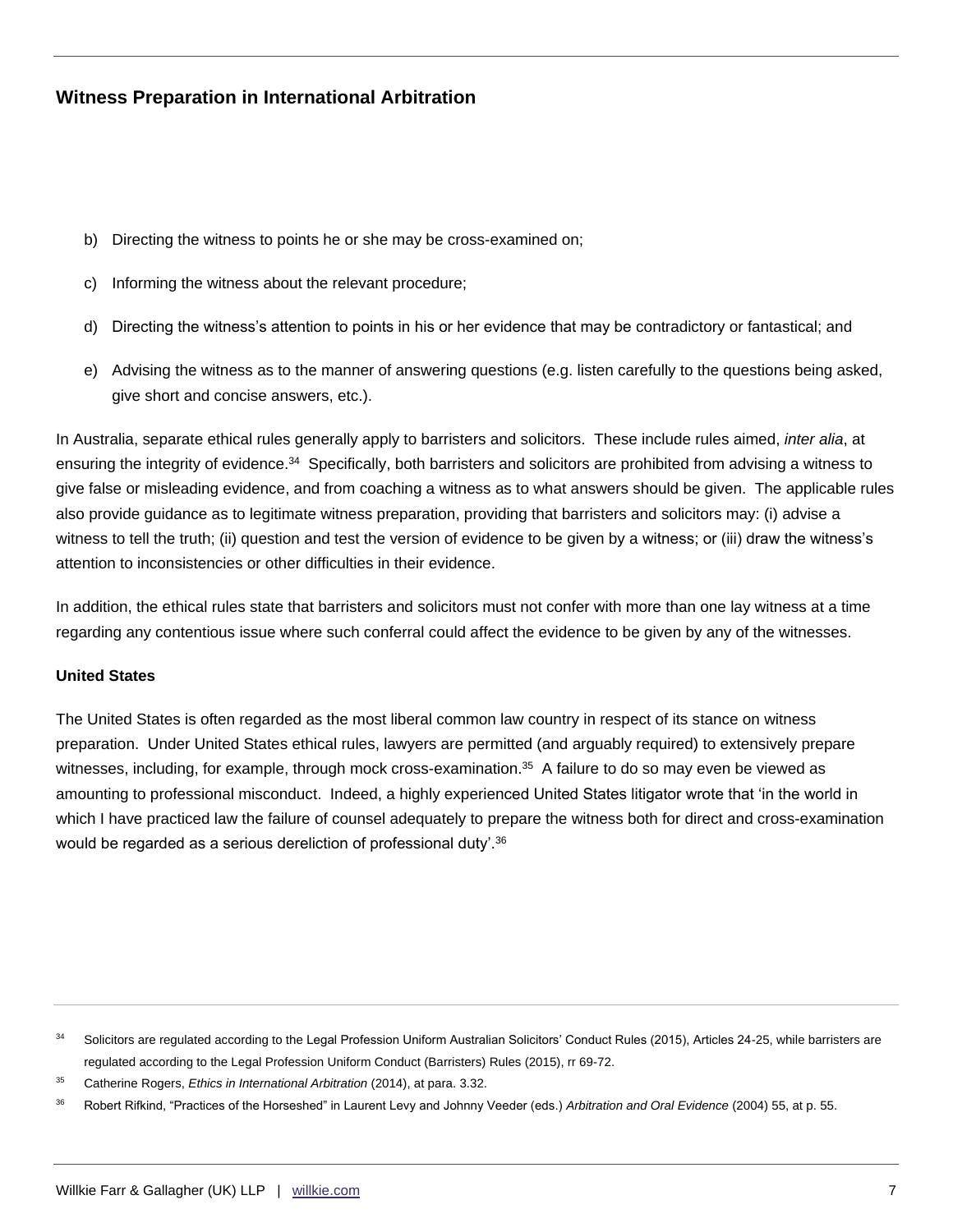- b) Directing the witness to points he or she may be cross-examined on;
- c) Informing the witness about the relevant procedure;
- d) Directing the witness's attention to points in his or her evidence that may be contradictory or fantastical; and
- e) Advising the witness as to the manner of answering questions (e.g. listen carefully to the questions being asked, give short and concise answers, etc.).

In Australia, separate ethical rules generally apply to barristers and solicitors. These include rules aimed, *inter alia*, at ensuring the integrity of evidence.<sup>34</sup> Specifically, both barristers and solicitors are prohibited from advising a witness to give false or misleading evidence, and from coaching a witness as to what answers should be given. The applicable rules also provide guidance as to legitimate witness preparation, providing that barristers and solicitors may: (i) advise a witness to tell the truth; (ii) question and test the version of evidence to be given by a witness; or (iii) draw the witness's attention to inconsistencies or other difficulties in their evidence.

In addition, the ethical rules state that barristers and solicitors must not confer with more than one lay witness at a time regarding any contentious issue where such conferral could affect the evidence to be given by any of the witnesses.

#### **United States**

The United States is often regarded as the most liberal common law country in respect of its stance on witness preparation. Under United States ethical rules, lawyers are permitted (and arguably required) to extensively prepare witnesses, including, for example, through mock cross-examination.<sup>35</sup> A failure to do so may even be viewed as amounting to professional misconduct. Indeed, a highly experienced United States litigator wrote that 'in the world in which I have practiced law the failure of counsel adequately to prepare the witness both for direct and cross-examination would be regarded as a serious dereliction of professional duty'.<sup>36</sup>

<sup>&</sup>lt;sup>34</sup> Solicitors are regulated according to the Legal Profession Uniform Australian Solicitors' Conduct Rules (2015), Articles 24-25, while barristers are regulated according to the Legal Profession Uniform Conduct (Barristers) Rules (2015), rr 69-72.

<sup>35</sup> Catherine Rogers, *Ethics in International Arbitration* (2014), at para. 3.32.

<sup>36</sup> Robert Rifkind, "Practices of the Horseshed" in Laurent Levy and Johnny Veeder (eds.) *Arbitration and Oral Evidence* (2004) 55, at p. 55.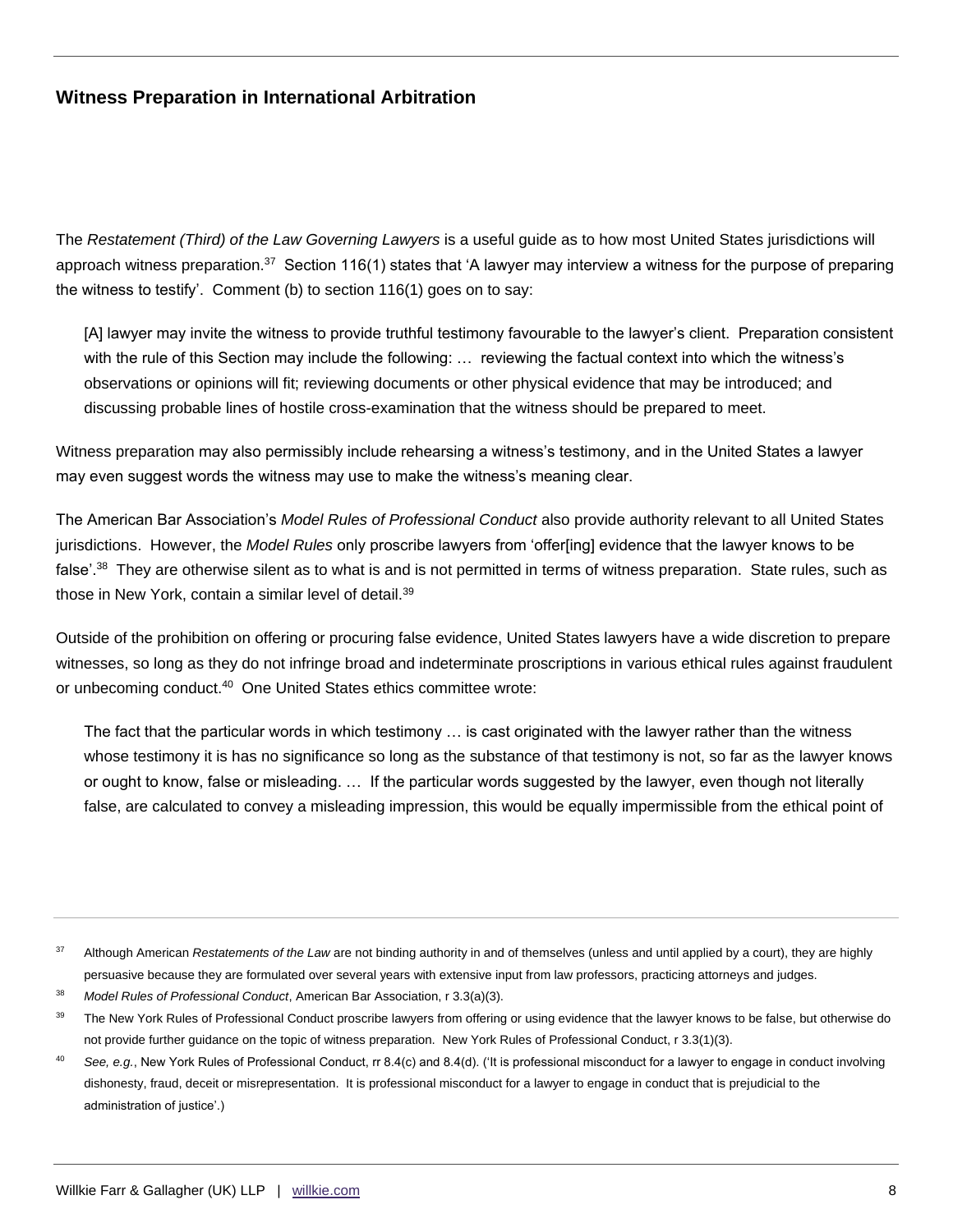The *Restatement (Third) of the Law Governing Lawyers* is a useful guide as to how most United States jurisdictions will approach witness preparation. $^{37}$  Section 116(1) states that 'A lawyer may interview a witness for the purpose of preparing the witness to testify'. Comment (b) to section 116(1) goes on to say:

[A] lawyer may invite the witness to provide truthful testimony favourable to the lawyer's client. Preparation consistent with the rule of this Section may include the following: … reviewing the factual context into which the witness's observations or opinions will fit; reviewing documents or other physical evidence that may be introduced; and discussing probable lines of hostile cross-examination that the witness should be prepared to meet.

Witness preparation may also permissibly include rehearsing a witness's testimony, and in the United States a lawyer may even suggest words the witness may use to make the witness's meaning clear.

The American Bar Association's *Model Rules of Professional Conduct* also provide authority relevant to all United States jurisdictions. However, the *Model Rules* only proscribe lawyers from 'offer[ing] evidence that the lawyer knows to be false'.<sup>38</sup> They are otherwise silent as to what is and is not permitted in terms of witness preparation. State rules, such as those in New York, contain a similar level of detail.<sup>39</sup>

Outside of the prohibition on offering or procuring false evidence, United States lawyers have a wide discretion to prepare witnesses, so long as they do not infringe broad and indeterminate proscriptions in various ethical rules against fraudulent or unbecoming conduct.<sup>40</sup> One United States ethics committee wrote:

The fact that the particular words in which testimony … is cast originated with the lawyer rather than the witness whose testimony it is has no significance so long as the substance of that testimony is not, so far as the lawyer knows or ought to know, false or misleading. … If the particular words suggested by the lawyer, even though not literally false, are calculated to convey a misleading impression, this would be equally impermissible from the ethical point of

<sup>37</sup> Although American *Restatements of the Law* are not binding authority in and of themselves (unless and until applied by a court), they are highly persuasive because they are formulated over several years with extensive input from law professors, practicing attorneys and judges.

<sup>38</sup> *Model Rules of Professional Conduct*, American Bar Association, r 3.3(a)(3).

<sup>&</sup>lt;sup>39</sup> The New York Rules of Professional Conduct proscribe lawyers from offering or using evidence that the lawyer knows to be false, but otherwise do not provide further guidance on the topic of witness preparation. New York Rules of Professional Conduct, r 3.3(1)(3).

<sup>40</sup> *See, e.g.*, New York Rules of Professional Conduct, rr 8.4(c) and 8.4(d). ('It is professional misconduct for a lawyer to engage in conduct involving dishonesty, fraud, deceit or misrepresentation. It is professional misconduct for a lawyer to engage in conduct that is prejudicial to the administration of justice'.)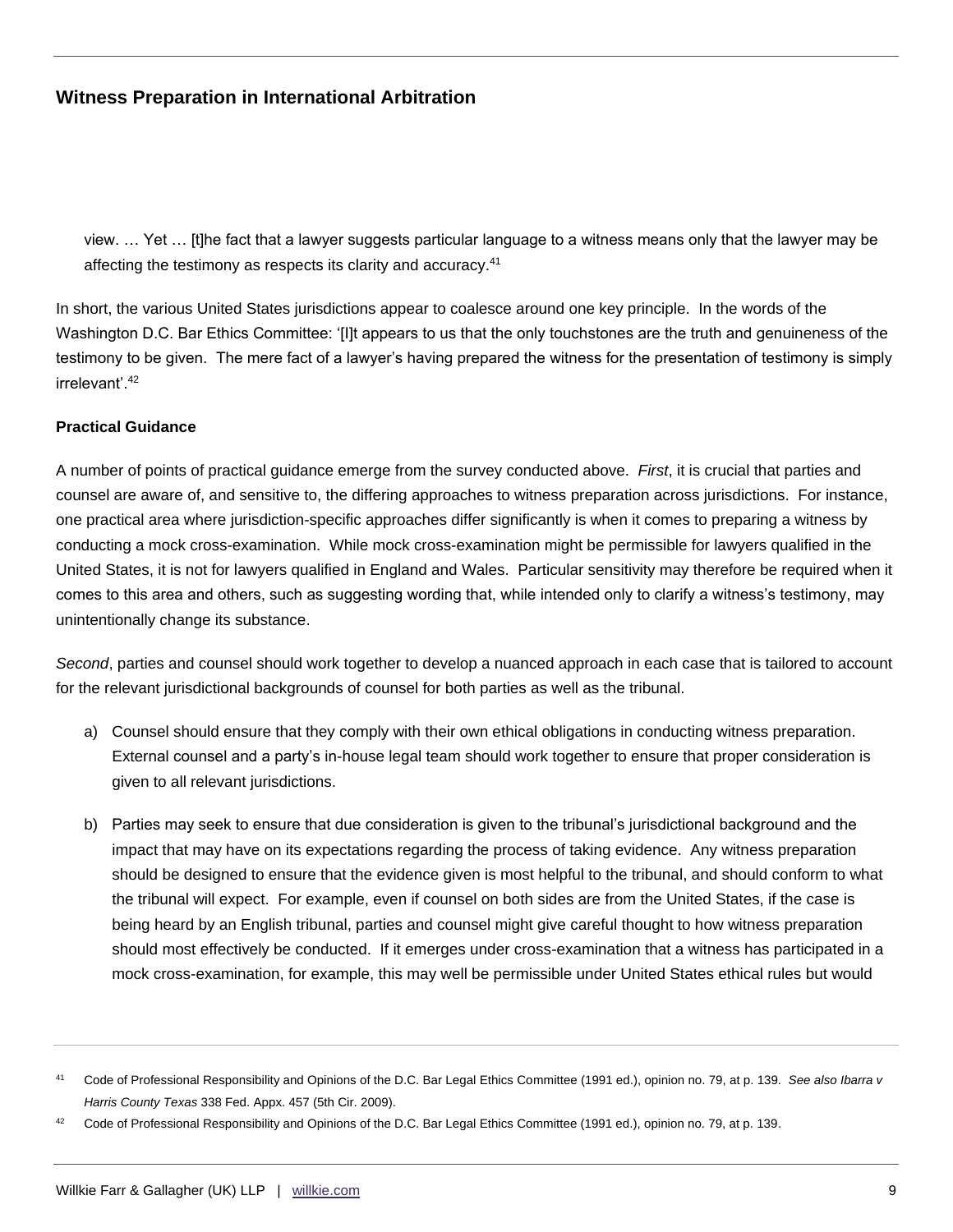view. … Yet … [t]he fact that a lawyer suggests particular language to a witness means only that the lawyer may be affecting the testimony as respects its clarity and accuracy.<sup>41</sup>

In short, the various United States jurisdictions appear to coalesce around one key principle. In the words of the Washington D.C. Bar Ethics Committee: '[I]t appears to us that the only touchstones are the truth and genuineness of the testimony to be given. The mere fact of a lawyer's having prepared the witness for the presentation of testimony is simply irrelevant'.<sup>42</sup>

### **Practical Guidance**

A number of points of practical guidance emerge from the survey conducted above. *First*, it is crucial that parties and counsel are aware of, and sensitive to, the differing approaches to witness preparation across jurisdictions. For instance, one practical area where jurisdiction-specific approaches differ significantly is when it comes to preparing a witness by conducting a mock cross-examination. While mock cross-examination might be permissible for lawyers qualified in the United States, it is not for lawyers qualified in England and Wales. Particular sensitivity may therefore be required when it comes to this area and others, such as suggesting wording that, while intended only to clarify a witness's testimony, may unintentionally change its substance.

*Second*, parties and counsel should work together to develop a nuanced approach in each case that is tailored to account for the relevant jurisdictional backgrounds of counsel for both parties as well as the tribunal.

- a) Counsel should ensure that they comply with their own ethical obligations in conducting witness preparation. External counsel and a party's in-house legal team should work together to ensure that proper consideration is given to all relevant jurisdictions.
- b) Parties may seek to ensure that due consideration is given to the tribunal's jurisdictional background and the impact that may have on its expectations regarding the process of taking evidence. Any witness preparation should be designed to ensure that the evidence given is most helpful to the tribunal, and should conform to what the tribunal will expect. For example, even if counsel on both sides are from the United States, if the case is being heard by an English tribunal, parties and counsel might give careful thought to how witness preparation should most effectively be conducted. If it emerges under cross-examination that a witness has participated in a mock cross-examination, for example, this may well be permissible under United States ethical rules but would

<sup>41</sup> Code of Professional Responsibility and Opinions of the D.C. Bar Legal Ethics Committee (1991 ed.), opinion no. 79, at p. 139. *See also Ibarra v Harris County Texas* 338 Fed. Appx. 457 (5th Cir. 2009).

Code of Professional Responsibility and Opinions of the D.C. Bar Legal Ethics Committee (1991 ed.), opinion no. 79, at p. 139.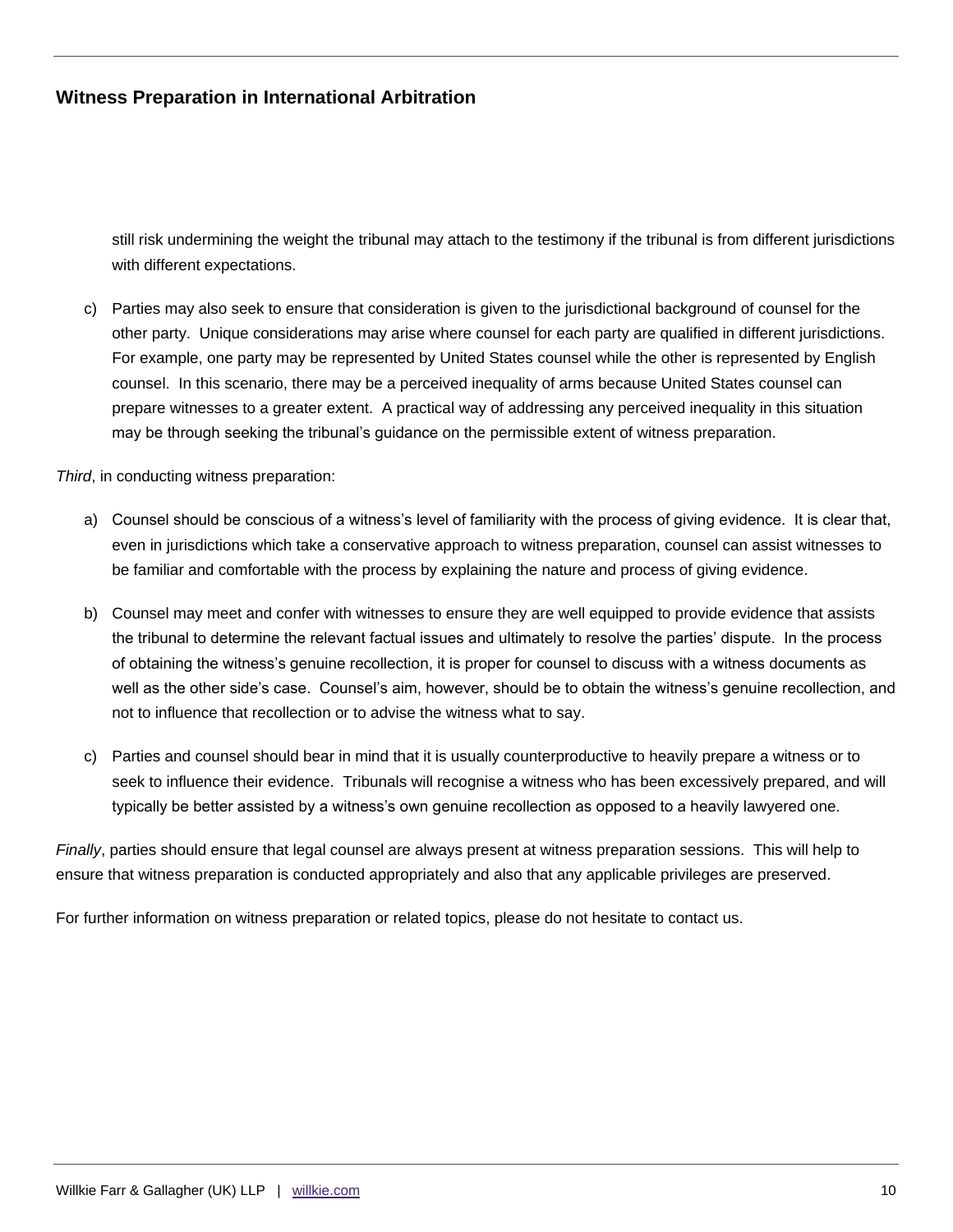still risk undermining the weight the tribunal may attach to the testimony if the tribunal is from different jurisdictions with different expectations.

c) Parties may also seek to ensure that consideration is given to the jurisdictional background of counsel for the other party. Unique considerations may arise where counsel for each party are qualified in different jurisdictions. For example, one party may be represented by United States counsel while the other is represented by English counsel. In this scenario, there may be a perceived inequality of arms because United States counsel can prepare witnesses to a greater extent. A practical way of addressing any perceived inequality in this situation may be through seeking the tribunal's guidance on the permissible extent of witness preparation.

*Third*, in conducting witness preparation:

- a) Counsel should be conscious of a witness's level of familiarity with the process of giving evidence. It is clear that, even in jurisdictions which take a conservative approach to witness preparation, counsel can assist witnesses to be familiar and comfortable with the process by explaining the nature and process of giving evidence.
- b) Counsel may meet and confer with witnesses to ensure they are well equipped to provide evidence that assists the tribunal to determine the relevant factual issues and ultimately to resolve the parties' dispute. In the process of obtaining the witness's genuine recollection, it is proper for counsel to discuss with a witness documents as well as the other side's case. Counsel's aim, however, should be to obtain the witness's genuine recollection, and not to influence that recollection or to advise the witness what to say.
- c) Parties and counsel should bear in mind that it is usually counterproductive to heavily prepare a witness or to seek to influence their evidence. Tribunals will recognise a witness who has been excessively prepared, and will typically be better assisted by a witness's own genuine recollection as opposed to a heavily lawyered one.

*Finally*, parties should ensure that legal counsel are always present at witness preparation sessions. This will help to ensure that witness preparation is conducted appropriately and also that any applicable privileges are preserved.

For further information on witness preparation or related topics, please do not hesitate to contact us.